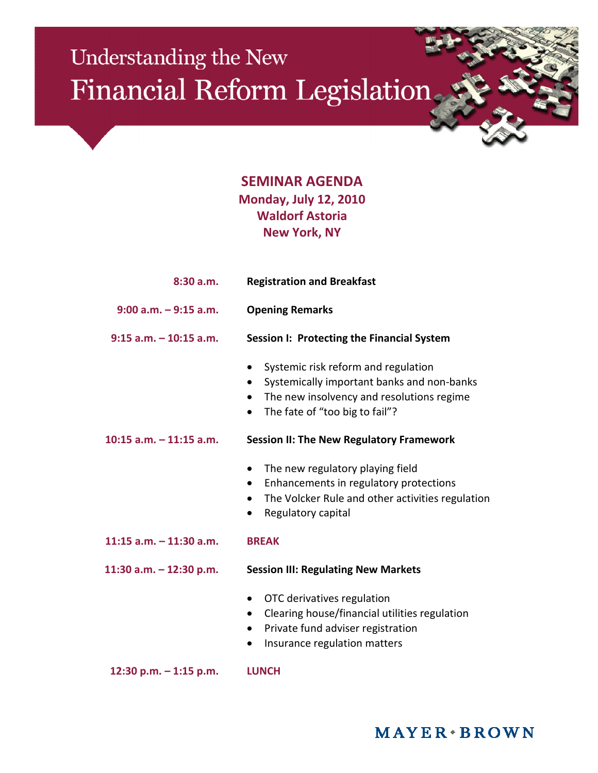## Understanding the New Financial Reform Legislation

## **SEMINAR AGENDA Monday, July 12, 2010 Waldorf Astoria New York, NY**

| 8:30a.m.                   | <b>Registration and Breakfast</b>                                                                                                                                                                            |
|----------------------------|--------------------------------------------------------------------------------------------------------------------------------------------------------------------------------------------------------------|
| $9:00$ a.m. $-9:15$ a.m.   | <b>Opening Remarks</b>                                                                                                                                                                                       |
| $9:15$ a.m. $-10:15$ a.m.  | Session I: Protecting the Financial System                                                                                                                                                                   |
|                            | Systemic risk reform and regulation<br>٠<br>Systemically important banks and non-banks<br>$\bullet$<br>The new insolvency and resolutions regime<br>$\bullet$<br>The fate of "too big to fail"?<br>$\bullet$ |
| $10:15$ a.m. $-11:15$ a.m. | <b>Session II: The New Regulatory Framework</b>                                                                                                                                                              |
|                            | The new regulatory playing field<br>$\bullet$<br>Enhancements in regulatory protections<br>$\bullet$<br>The Volcker Rule and other activities regulation<br>$\bullet$<br>Regulatory capital                  |
| $11:15$ a.m. $-11:30$ a.m. | <b>BREAK</b>                                                                                                                                                                                                 |
| 11:30 a.m. - 12:30 p.m.    | <b>Session III: Regulating New Markets</b>                                                                                                                                                                   |
|                            | OTC derivatives regulation<br>Clearing house/financial utilities regulation<br>Private fund adviser registration<br>$\bullet$<br>Insurance regulation matters<br>$\bullet$                                   |
| 12:30 p.m. - 1:15 p.m.     | <b>LUNCH</b>                                                                                                                                                                                                 |

## $MAYER \cdot BROWN$